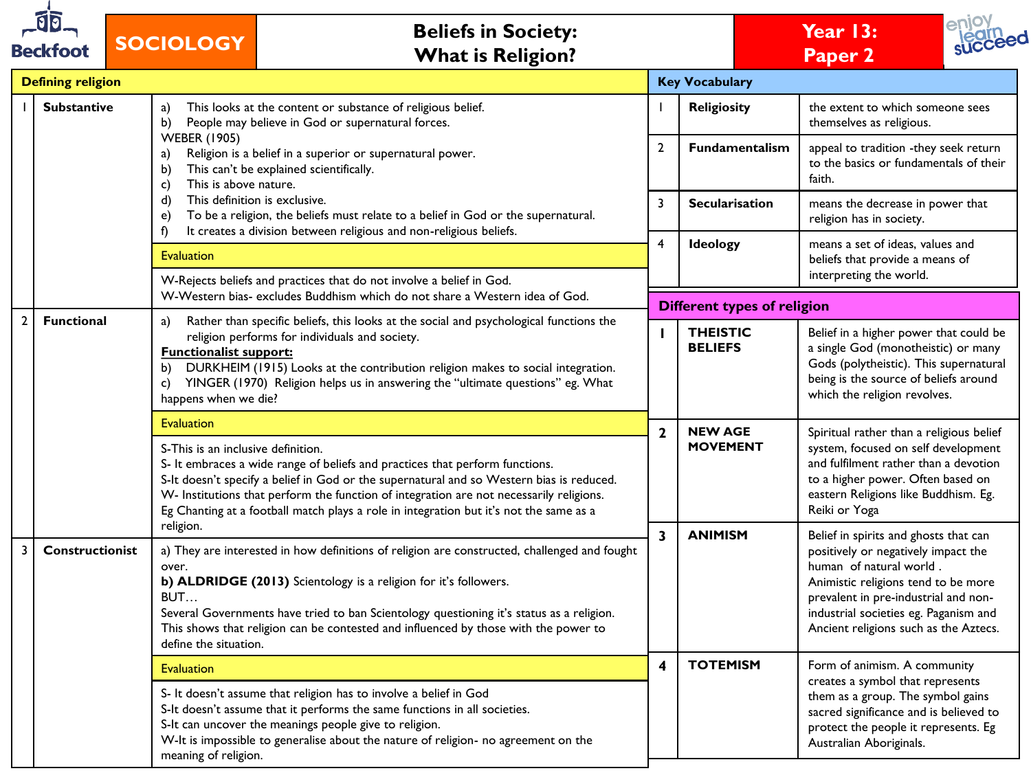| <b>Beckfoot</b> |                          | <b>Beliefs in Society:</b><br><b>SOCIOLOGY</b><br><b>What is Religion?</b>                                                                                                                                                                                                                                                                                                                                |                         |                                    |                                                                                                                                                                                                                                                                          |  |
|-----------------|--------------------------|-----------------------------------------------------------------------------------------------------------------------------------------------------------------------------------------------------------------------------------------------------------------------------------------------------------------------------------------------------------------------------------------------------------|-------------------------|------------------------------------|--------------------------------------------------------------------------------------------------------------------------------------------------------------------------------------------------------------------------------------------------------------------------|--|
|                 | <b>Defining religion</b> |                                                                                                                                                                                                                                                                                                                                                                                                           |                         | <b>Key Vocabulary</b>              |                                                                                                                                                                                                                                                                          |  |
|                 | <b>Substantive</b>       | This looks at the content or substance of religious belief.<br>a)<br>People may believe in God or supernatural forces.<br>b)                                                                                                                                                                                                                                                                              |                         | <b>Religiosity</b>                 | the extent to which someone sees<br>themselves as religious.                                                                                                                                                                                                             |  |
|                 |                          | <b>WEBER (1905)</b><br>Religion is a belief in a superior or supernatural power.<br>a)<br>This can't be explained scientifically.<br>b)<br>This is above nature.<br>c)<br>This definition is exclusive.<br>d)<br>To be a religion, the beliefs must relate to a belief in God or the supernatural.<br>e)<br>It creates a division between religious and non-religious beliefs.                            | $\overline{2}$          | Fundamentalism                     | appeal to tradition -they seek return<br>to the basics or fundamentals of their<br>faith.                                                                                                                                                                                |  |
|                 |                          |                                                                                                                                                                                                                                                                                                                                                                                                           | 3                       | <b>Secularisation</b>              | means the decrease in power that<br>religion has in society.                                                                                                                                                                                                             |  |
|                 |                          | f)<br><b>Evaluation</b>                                                                                                                                                                                                                                                                                                                                                                                   |                         | <b>Ideology</b>                    | means a set of ideas, values and<br>beliefs that provide a means of<br>interpreting the world.                                                                                                                                                                           |  |
|                 |                          | W-Rejects beliefs and practices that do not involve a belief in God.<br>W-Western bias- excludes Buddhism which do not share a Western idea of God.                                                                                                                                                                                                                                                       |                         | <b>Different types of religion</b> |                                                                                                                                                                                                                                                                          |  |
| $\mathbf{2}$    | <b>Functional</b>        | Rather than specific beliefs, this looks at the social and psychological functions the<br>a)<br>religion performs for individuals and society.<br><b>Functionalist support:</b><br>DURKHEIM (1915) Looks at the contribution religion makes to social integration.<br>b)<br>YINGER (1970) Religion helps us in answering the "ultimate questions" eg. What<br>c)<br>happens when we die?                  | H.                      | <b>THEISTIC</b><br><b>BELIEFS</b>  | Belief in a higher power that could be<br>a single God (monotheistic) or many<br>Gods (polytheistic). This supernatural<br>being is the source of beliefs around<br>which the religion revolves.                                                                         |  |
|                 |                          | <b>Evaluation</b>                                                                                                                                                                                                                                                                                                                                                                                         |                         | <b>NEW AGE</b>                     | Spiritual rather than a religious belief                                                                                                                                                                                                                                 |  |
|                 |                          | S-This is an inclusive definition.<br>S- It embraces a wide range of beliefs and practices that perform functions.<br>S-It doesn't specify a belief in God or the supernatural and so Western bias is reduced.<br>W- Institutions that perform the function of integration are not necessarily religions.<br>Eg Chanting at a football match plays a role in integration but it's not the same as a       | $\mathbf{2}$            | <b>MOVEMENT</b>                    | system, focused on self development<br>and fulfilment rather than a devotion<br>to a higher power. Often based on<br>eastern Religions like Buddhism. Eg.<br>Reiki or Yoga                                                                                               |  |
| 3               | <b>Constructionist</b>   | religion.<br>a) They are interested in how definitions of religion are constructed, challenged and fought<br>over.<br>b) ALDRIDGE (2013) Scientology is a religion for it's followers.<br>BUT<br>Several Governments have tried to ban Scientology questioning it's status as a religion.<br>This shows that religion can be contested and influenced by those with the power to<br>define the situation. | $\overline{\mathbf{3}}$ | <b>ANIMISM</b>                     | Belief in spirits and ghosts that can<br>positively or negatively impact the<br>human of natural world.<br>Animistic religions tend to be more<br>prevalent in pre-industrial and non-<br>industrial societies eg. Paganism and<br>Ancient religions such as the Aztecs. |  |
|                 |                          | <b>Evaluation</b>                                                                                                                                                                                                                                                                                                                                                                                         | 4                       | <b>TOTEMISM</b>                    | Form of animism. A community                                                                                                                                                                                                                                             |  |
|                 |                          | S- It doesn't assume that religion has to involve a belief in God<br>S-It doesn't assume that it performs the same functions in all societies.<br>S-It can uncover the meanings people give to religion.<br>W-It is impossible to generalise about the nature of religion- no agreement on the<br>meaning of religion.                                                                                    |                         |                                    | creates a symbol that represents<br>them as a group. The symbol gains<br>sacred significance and is believed to<br>protect the people it represents. Eg<br>Australian Aboriginals.                                                                                       |  |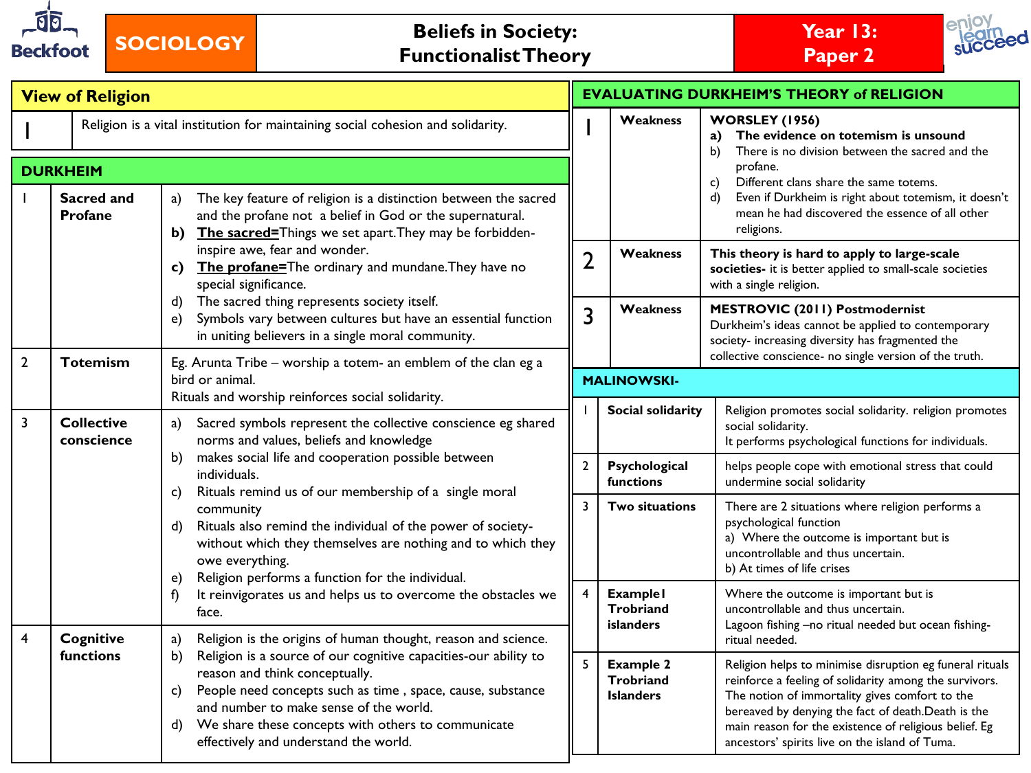

**SOCIOLOGY Beliefs in Society: Functionalist Theory**





|                                                                                                    | <b>View of Religion</b>                                                                                                                                                                                                                                                                                                                                                                                                            |                                                                                                                                                                                                                                                                                                                                                                                                                                                                                                                                             |                |                                                          | <b>EVALUATING DURKHEIM'S THEORY of RELIGION</b>                                                                                                                                                                                                                                                                                                         |  |  |
|----------------------------------------------------------------------------------------------------|------------------------------------------------------------------------------------------------------------------------------------------------------------------------------------------------------------------------------------------------------------------------------------------------------------------------------------------------------------------------------------------------------------------------------------|---------------------------------------------------------------------------------------------------------------------------------------------------------------------------------------------------------------------------------------------------------------------------------------------------------------------------------------------------------------------------------------------------------------------------------------------------------------------------------------------------------------------------------------------|----------------|----------------------------------------------------------|---------------------------------------------------------------------------------------------------------------------------------------------------------------------------------------------------------------------------------------------------------------------------------------------------------------------------------------------------------|--|--|
| Religion is a vital institution for maintaining social cohesion and solidarity.<br><b>DURKHEIM</b> |                                                                                                                                                                                                                                                                                                                                                                                                                                    |                                                                                                                                                                                                                                                                                                                                                                                                                                                                                                                                             |                | <b>Weakness</b>                                          | <b>WORSLEY (1956)</b><br>The evidence on totemism is unsound<br>a)<br>There is no division between the sacred and the<br>b)<br>profane.<br>Different clans share the same totems.                                                                                                                                                                       |  |  |
|                                                                                                    | Sacred and<br>The key feature of religion is a distinction between the sacred<br>a)<br><b>Profane</b><br>and the profane not a belief in God or the supernatural.<br>b) The sacred=Things we set apart. They may be forbidden-                                                                                                                                                                                                     |                                                                                                                                                                                                                                                                                                                                                                                                                                                                                                                                             |                |                                                          | c)<br>Even if Durkheim is right about totemism, it doesn't<br>d)<br>mean he had discovered the essence of all other<br>religions.                                                                                                                                                                                                                       |  |  |
|                                                                                                    |                                                                                                                                                                                                                                                                                                                                                                                                                                    | inspire awe, fear and wonder.<br>c) The profane=The ordinary and mundane. They have no<br>special significance.                                                                                                                                                                                                                                                                                                                                                                                                                             | $\overline{2}$ | Weakness                                                 | This theory is hard to apply to large-scale<br>societies- it is better applied to small-scale societies<br>with a single religion.                                                                                                                                                                                                                      |  |  |
|                                                                                                    |                                                                                                                                                                                                                                                                                                                                                                                                                                    | The sacred thing represents society itself.<br>d)<br>Symbols vary between cultures but have an essential function<br>e)<br>in uniting believers in a single moral community.                                                                                                                                                                                                                                                                                                                                                                |                | <b>Weakness</b>                                          | <b>MESTROVIC (2011) Postmodernist</b><br>Durkheim's ideas cannot be applied to contemporary<br>society- increasing diversity has fragmented the<br>collective conscience- no single version of the truth.                                                                                                                                               |  |  |
| $\mathbf{2}$                                                                                       | <b>Totemism</b>                                                                                                                                                                                                                                                                                                                                                                                                                    | Eg. Arunta Tribe - worship a totem- an emblem of the clan eg a<br>bird or animal.                                                                                                                                                                                                                                                                                                                                                                                                                                                           |                | <b>MALINOWSKI-</b>                                       |                                                                                                                                                                                                                                                                                                                                                         |  |  |
| 3                                                                                                  | <b>Collective</b><br>conscience                                                                                                                                                                                                                                                                                                                                                                                                    | Rituals and worship reinforces social solidarity.<br>Sacred symbols represent the collective conscience eg shared<br>a)<br>norms and values, beliefs and knowledge<br>makes social life and cooperation possible between<br>b)<br>individuals.<br>Rituals remind us of our membership of a single moral<br>C)<br>community<br>Rituals also remind the individual of the power of society-<br>d)<br>without which they themselves are nothing and to which they<br>owe everything.<br>Religion performs a function for the individual.<br>e) |                | Social solidarity                                        | Religion promotes social solidarity. religion promotes<br>social solidarity.<br>It performs psychological functions for individuals.                                                                                                                                                                                                                    |  |  |
|                                                                                                    |                                                                                                                                                                                                                                                                                                                                                                                                                                    |                                                                                                                                                                                                                                                                                                                                                                                                                                                                                                                                             | $\overline{2}$ | Psychological<br><b>functions</b>                        | helps people cope with emotional stress that could<br>undermine social solidarity                                                                                                                                                                                                                                                                       |  |  |
|                                                                                                    |                                                                                                                                                                                                                                                                                                                                                                                                                                    |                                                                                                                                                                                                                                                                                                                                                                                                                                                                                                                                             | 3              | Two situations                                           | There are 2 situations where religion performs a<br>psychological function<br>a) Where the outcome is important but is<br>uncontrollable and thus uncertain.<br>b) At times of life crises                                                                                                                                                              |  |  |
| $\overline{4}$                                                                                     |                                                                                                                                                                                                                                                                                                                                                                                                                                    | It reinvigorates us and helps us to overcome the obstacles we<br>f)<br>face.                                                                                                                                                                                                                                                                                                                                                                                                                                                                |                | <b>Example1</b><br>Trobriand<br><b>islanders</b>         | Where the outcome is important but is<br>uncontrollable and thus uncertain.<br>Lagoon fishing -no ritual needed but ocean fishing-                                                                                                                                                                                                                      |  |  |
|                                                                                                    | <b>Cognitive</b><br>Religion is the origins of human thought, reason and science.<br>a)<br>functions<br>Religion is a source of our cognitive capacities-our ability to<br>b)<br>reason and think conceptually.<br>People need concepts such as time, space, cause, substance<br>C)<br>and number to make sense of the world.<br>We share these concepts with others to communicate<br>d)<br>effectively and understand the world. |                                                                                                                                                                                                                                                                                                                                                                                                                                                                                                                                             | 5              | <b>Example 2</b><br><b>Trobriand</b><br><b>Islanders</b> | ritual needed.<br>Religion helps to minimise disruption eg funeral rituals<br>reinforce a feeling of solidarity among the survivors.<br>The notion of immortality gives comfort to the<br>bereaved by denying the fact of death.Death is the<br>main reason for the existence of religious belief. Eg<br>ancestors' spirits live on the island of Tuma. |  |  |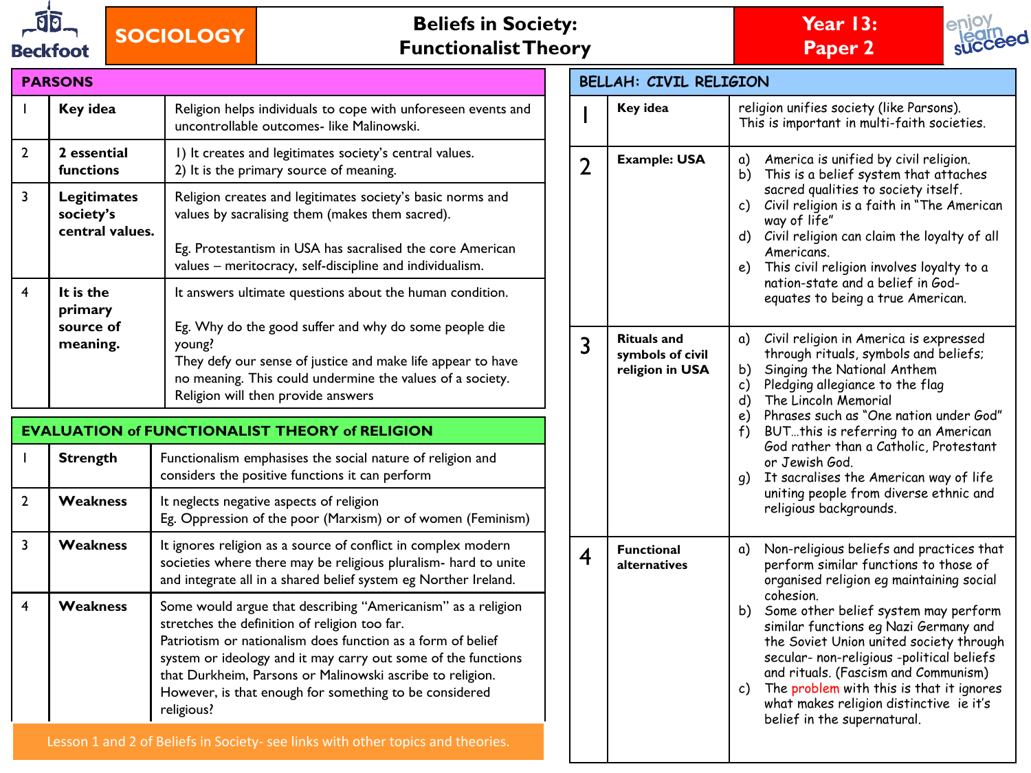

# **SOCIOLOGY Beliefs in Society: Functionalist Theory**





| <b>PARSONS</b> |                                                    |                                                                                                                                                                                                                                        |  |  |  |  |
|----------------|----------------------------------------------------|----------------------------------------------------------------------------------------------------------------------------------------------------------------------------------------------------------------------------------------|--|--|--|--|
|                | Key idea                                           | Religion helps individuals to cope with unforeseen events and<br>uncontrollable outcomes- like Malinowski.                                                                                                                             |  |  |  |  |
| $\overline{2}$ | 2 essential<br>functions                           | I) It creates and legitimates society's central values.<br>2) It is the primary source of meaning.                                                                                                                                     |  |  |  |  |
| 3              | <b>Legitimates</b><br>society's<br>central values. | Religion creates and legitimates society's basic norms and<br>values by sacralising them (makes them sacred).<br>Eg. Protestantism in USA has sacralised the core American<br>values - meritocracy, self-discipline and individualism. |  |  |  |  |
| 4              | It is the<br>primary<br>source of<br>meaning.      | It answers ultimate questions about the human condition.<br>Eg. Why do the good suffer and why do some people die<br>young?<br>They defy our sense of justice and make life appear to have                                             |  |  |  |  |
|                |                                                    | no meaning. This could undermine the values of a society.<br>Religion will then provide answers                                                                                                                                        |  |  |  |  |

|               | <b>EVALUATION of FUNCTIONALIST THEORY of RELIGION</b> |                                                                                                                                                                                                                                                                                                                                                                                    |  |  |  |  |  |
|---------------|-------------------------------------------------------|------------------------------------------------------------------------------------------------------------------------------------------------------------------------------------------------------------------------------------------------------------------------------------------------------------------------------------------------------------------------------------|--|--|--|--|--|
|               | <b>Strength</b>                                       | Functionalism emphasises the social nature of religion and<br>considers the positive functions it can perform                                                                                                                                                                                                                                                                      |  |  |  |  |  |
| $\mathcal{P}$ | Weakness                                              | It neglects negative aspects of religion<br>Eg. Oppression of the poor (Marxism) or of women (Feminism)                                                                                                                                                                                                                                                                            |  |  |  |  |  |
| 3             | Weakness                                              | It ignores religion as a source of conflict in complex modern<br>societies where there may be religious pluralism- hard to unite<br>and integrate all in a shared belief system eg Norther Ireland.                                                                                                                                                                                |  |  |  |  |  |
| 4             | <b>Weakness</b>                                       | Some would argue that describing "Americanism" as a religion<br>stretches the definition of religion too far.<br>Patriotism or nationalism does function as a form of belief<br>system or ideology and it may carry out some of the functions<br>that Durkheim, Parsons or Malinowski ascribe to religion.<br>However, is that enough for something to be considered<br>religious? |  |  |  |  |  |

|                | <b>BELLAH: CIVIL RELIGION</b>                             |                                                                                                                                                                                                                                                                                                                                                                                                                                                                                                     |  |  |  |  |  |
|----------------|-----------------------------------------------------------|-----------------------------------------------------------------------------------------------------------------------------------------------------------------------------------------------------------------------------------------------------------------------------------------------------------------------------------------------------------------------------------------------------------------------------------------------------------------------------------------------------|--|--|--|--|--|
|                | Key idea                                                  | religion unifies society (like Parsons).<br>This is important in multi-faith societies.                                                                                                                                                                                                                                                                                                                                                                                                             |  |  |  |  |  |
| $\overline{2}$ | <b>Example: USA</b>                                       | a)<br>America is unified by civil religion.<br>b)<br>This is a belief system that attaches<br>sacred qualities to society itself.<br>Civil religion is a faith in "The American<br>c)<br>way of life"<br>d)<br>Civil religion can claim the loyalty of all<br>Americans.<br>This civil religion involves loyalty to a<br>e)<br>nation-state and a belief in God-<br>equates to being a true American.                                                                                               |  |  |  |  |  |
| 3              | <b>Rituals</b> and<br>symbols of civil<br>religion in USA | a)<br>Civil religion in America is expressed<br>through rituals, symbols and beliefs;<br>Singing the National Anthem<br>b)<br>c)<br>Pledging allegiance to the flag<br>The Lincoln Memorial<br>d)<br>e)<br>Phrases such as "One nation under God"<br>$f$ )<br>BUTthis is referring to an American<br>God rather than a Catholic, Protestant<br>or Jewish God.<br>It sacralises the American way of life<br>g)<br>uniting people from diverse ethnic and<br>religious backgrounds.                   |  |  |  |  |  |
| 4              | <b>Functional</b><br>alternatives                         | a)<br>Non-religious beliefs and practices that<br>perform similar functions to those of<br>organised religion eg maintaining social<br>cohesion.<br>b)<br>Some other belief system may perform<br>similar functions eg Nazi Germany and<br>the Soviet Union united society through<br>secular- non-religious -political beliefs<br>and rituals. (Fascism and Communism)<br>c)<br>The problem with this is that it ignores<br>what makes religion distinctive ie it's<br>belief in the supernatural. |  |  |  |  |  |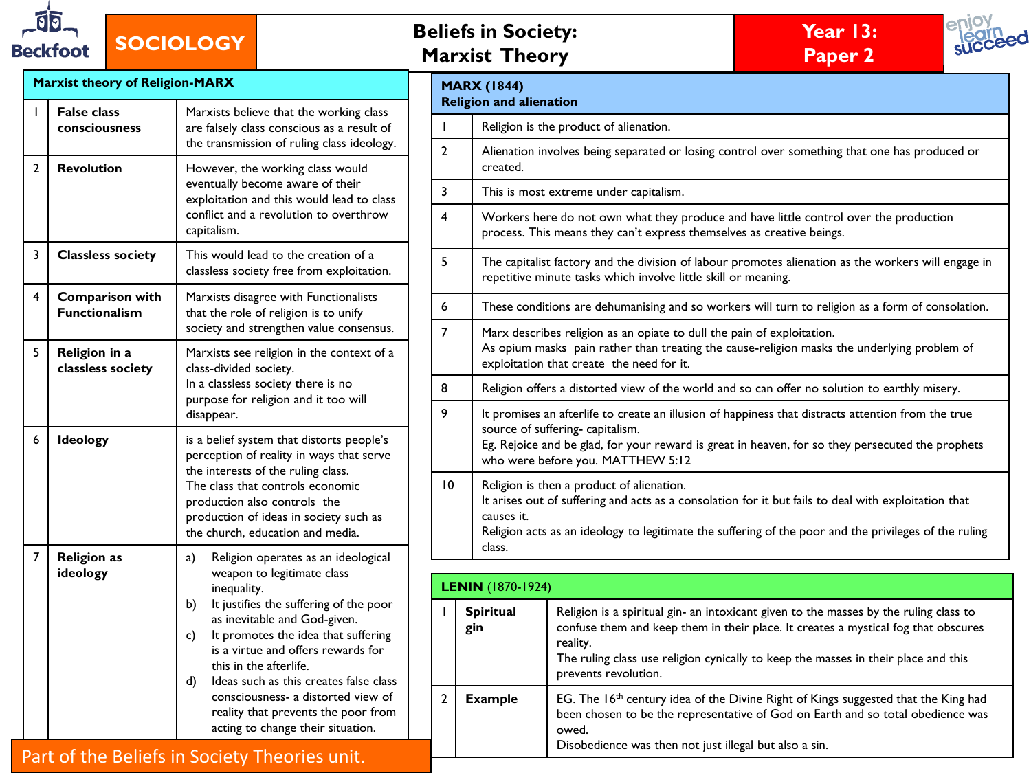

# **SOCIOLOGY**

| <b>Beliefs in Society:</b> |  |
|----------------------------|--|
| <b>Marxist Theory</b>      |  |





|                |                                                                                                                                                       |                                                                                                                                                                                                                                     |                |                                                                                                                                                                                                                                                                                                    |                                                                                                                                                                | $\mathbf{u}$                                                                                                                                                                                                                                                      |  |  |  |
|----------------|-------------------------------------------------------------------------------------------------------------------------------------------------------|-------------------------------------------------------------------------------------------------------------------------------------------------------------------------------------------------------------------------------------|----------------|----------------------------------------------------------------------------------------------------------------------------------------------------------------------------------------------------------------------------------------------------------------------------------------------------|----------------------------------------------------------------------------------------------------------------------------------------------------------------|-------------------------------------------------------------------------------------------------------------------------------------------------------------------------------------------------------------------------------------------------------------------|--|--|--|
|                | <b>Marxist theory of Religion-MARX</b>                                                                                                                |                                                                                                                                                                                                                                     |                | <b>MARX (1844)</b><br><b>Religion and alienation</b>                                                                                                                                                                                                                                               |                                                                                                                                                                |                                                                                                                                                                                                                                                                   |  |  |  |
|                | <b>False class</b><br>consciousness                                                                                                                   | Marxists believe that the working class<br>are falsely class conscious as a result of                                                                                                                                               |                |                                                                                                                                                                                                                                                                                                    | Religion is the product of alienation.                                                                                                                         |                                                                                                                                                                                                                                                                   |  |  |  |
| $\overline{2}$ | <b>Revolution</b>                                                                                                                                     | the transmission of ruling class ideology.<br>However, the working class would                                                                                                                                                      | $\overline{2}$ | Alienation involves being separated or losing control over something that one has produced or<br>created.                                                                                                                                                                                          |                                                                                                                                                                |                                                                                                                                                                                                                                                                   |  |  |  |
|                |                                                                                                                                                       | eventually become aware of their<br>exploitation and this would lead to class                                                                                                                                                       | 3              |                                                                                                                                                                                                                                                                                                    | This is most extreme under capitalism.                                                                                                                         |                                                                                                                                                                                                                                                                   |  |  |  |
|                | conflict and a revolution to overthrow<br>capitalism.                                                                                                 |                                                                                                                                                                                                                                     | 4              |                                                                                                                                                                                                                                                                                                    | Workers here do not own what they produce and have little control over the production<br>process. This means they can't express themselves as creative beings. |                                                                                                                                                                                                                                                                   |  |  |  |
| 3              | <b>Classless society</b>                                                                                                                              | This would lead to the creation of a<br>classless society free from exploitation.                                                                                                                                                   | 5              | The capitalist factory and the division of labour promotes alienation as the workers will engage in<br>repetitive minute tasks which involve little skill or meaning.                                                                                                                              |                                                                                                                                                                |                                                                                                                                                                                                                                                                   |  |  |  |
| 4              | <b>Comparison with</b><br><b>Functionalism</b>                                                                                                        | Marxists disagree with Functionalists<br>that the role of religion is to unify                                                                                                                                                      | 6              |                                                                                                                                                                                                                                                                                                    |                                                                                                                                                                | These conditions are dehumanising and so workers will turn to religion as a form of consolation.                                                                                                                                                                  |  |  |  |
| 5              | Religion in a                                                                                                                                         | society and strengthen value consensus.<br>Marxists see religion in the context of a                                                                                                                                                | $\overline{7}$ | Marx describes religion as an opiate to dull the pain of exploitation.<br>As opium masks pain rather than treating the cause-religion masks the underlying problem of                                                                                                                              |                                                                                                                                                                |                                                                                                                                                                                                                                                                   |  |  |  |
|                | classless society                                                                                                                                     | class-divided society.<br>In a classless society there is no                                                                                                                                                                        | 8              |                                                                                                                                                                                                                                                                                                    | exploitation that create the need for it.<br>Religion offers a distorted view of the world and so can offer no solution to earthly misery.                     |                                                                                                                                                                                                                                                                   |  |  |  |
|                |                                                                                                                                                       | purpose for religion and it too will                                                                                                                                                                                                |                |                                                                                                                                                                                                                                                                                                    |                                                                                                                                                                |                                                                                                                                                                                                                                                                   |  |  |  |
| 6              | disappear.<br>Ideology<br>is a belief system that distorts people's<br>perception of reality in ways that serve<br>the interests of the ruling class. |                                                                                                                                                                                                                                     | 9              | It promises an afterlife to create an illusion of happiness that distracts attention from the true<br>source of suffering-capitalism.<br>Eg. Rejoice and be glad, for your reward is great in heaven, for so they persecuted the prophets<br>who were before you. MATTHEW 5:12                     |                                                                                                                                                                |                                                                                                                                                                                                                                                                   |  |  |  |
|                |                                                                                                                                                       | The class that controls economic<br>production also controls the<br>production of ideas in society such as<br>the church, education and media.                                                                                      |                | $10^{\circ}$<br>Religion is then a product of alienation.<br>It arises out of suffering and acts as a consolation for it but fails to deal with exploitation that<br>causes it.<br>Religion acts as an ideology to legitimate the suffering of the poor and the privileges of the ruling<br>class. |                                                                                                                                                                |                                                                                                                                                                                                                                                                   |  |  |  |
| $\overline{7}$ | <b>Religion as</b><br>ideology                                                                                                                        | Religion operates as an ideological<br>a)<br>weapon to legitimate class                                                                                                                                                             |                |                                                                                                                                                                                                                                                                                                    |                                                                                                                                                                |                                                                                                                                                                                                                                                                   |  |  |  |
|                |                                                                                                                                                       | inequality.                                                                                                                                                                                                                         |                | <b>LENIN</b> (1870-1924)                                                                                                                                                                                                                                                                           |                                                                                                                                                                |                                                                                                                                                                                                                                                                   |  |  |  |
|                |                                                                                                                                                       | It justifies the suffering of the poor<br>b)<br>as inevitable and God-given.<br>It promotes the idea that suffering<br>C)<br>is a virtue and offers rewards for<br>this in the afterlife.<br>Ideas such as this creates false class |                | <b>Spiritual</b><br>gin                                                                                                                                                                                                                                                                            | reality.<br>prevents revolution.                                                                                                                               | Religion is a spiritual gin- an intoxicant given to the masses by the ruling class to<br>confuse them and keep them in their place. It creates a mystical fog that obscures<br>The ruling class use religion cynically to keep the masses in their place and this |  |  |  |
|                |                                                                                                                                                       | d)<br>consciousness- a distorted view of<br>reality that prevents the poor from<br>acting to change their situation.                                                                                                                | $\mathbf{2}$   | <b>Example</b>                                                                                                                                                                                                                                                                                     | owed.<br>Disobedience was then not just illegal but also a sin.                                                                                                | EG. The 16 <sup>th</sup> century idea of the Divine Right of Kings suggested that the King had<br>been chosen to be the representative of God on Earth and so total obedience was                                                                                 |  |  |  |

### Part of the Beliefs in Society Theories unit.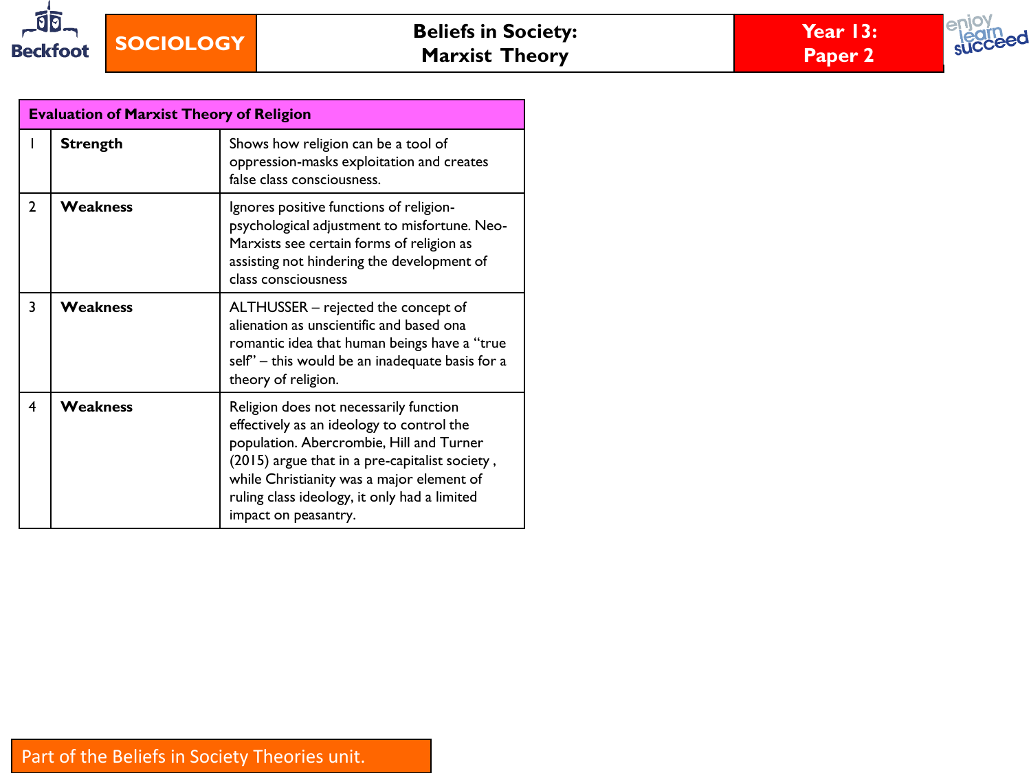



|                         | <b>Evaluation of Marxist Theory of Religion</b> |                                                                                                                                                                                                                                                                                                        |  |  |  |  |
|-------------------------|-------------------------------------------------|--------------------------------------------------------------------------------------------------------------------------------------------------------------------------------------------------------------------------------------------------------------------------------------------------------|--|--|--|--|
|                         | <b>Strength</b>                                 | Shows how religion can be a tool of<br>oppression-masks exploitation and creates<br>false class consciousness.                                                                                                                                                                                         |  |  |  |  |
| $\overline{2}$          | <b>Weakness</b>                                 | Ignores positive functions of religion-<br>psychological adjustment to misfortune. Neo-<br>Marxists see certain forms of religion as<br>assisting not hindering the development of<br>class consciousness                                                                                              |  |  |  |  |
| 3                       | <b>Weakness</b>                                 | ALTHUSSER - rejected the concept of<br>alienation as unscientific and based ona<br>romantic idea that human beings have a "true<br>self" – this would be an inadequate basis for a<br>theory of religion.                                                                                              |  |  |  |  |
| $\overline{\mathbf{4}}$ | <b>Weakness</b>                                 | Religion does not necessarily function<br>effectively as an ideology to control the<br>population. Abercrombie, Hill and Turner<br>(2015) argue that in a pre-capitalist society,<br>while Christianity was a major element of<br>ruling class ideology, it only had a limited<br>impact on peasantry. |  |  |  |  |

#### Part of the Beliefs in Society Theories unit.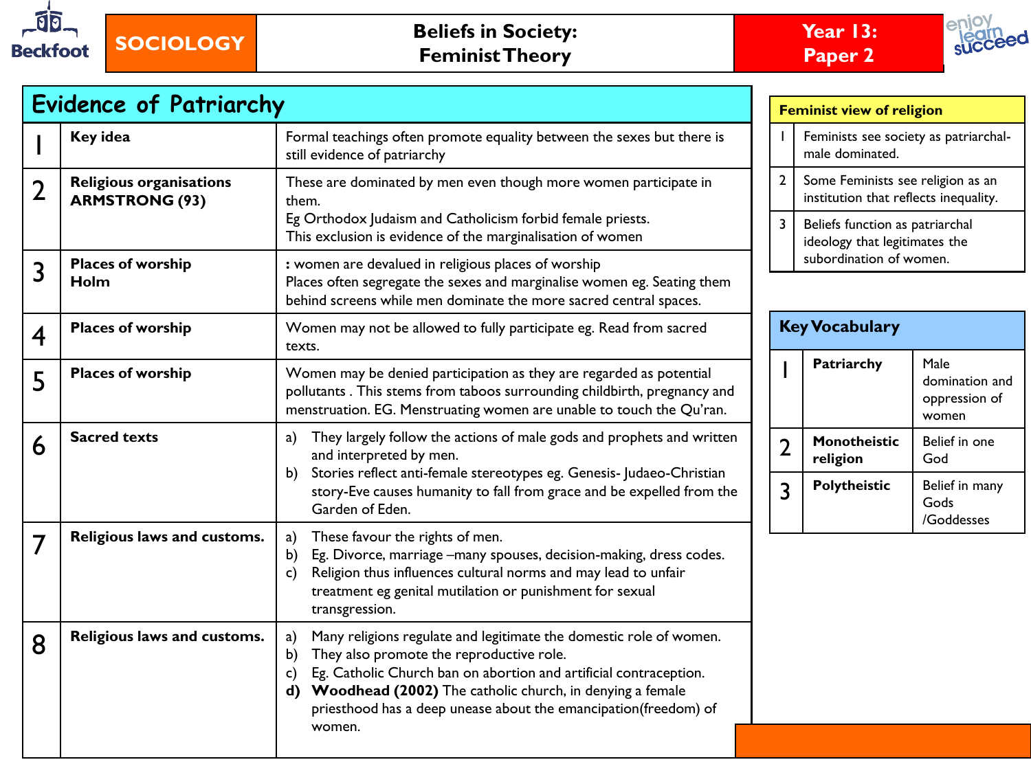



|                         | <b>Evidence of Patriarchy</b>                                                                                                                                                                                                                                                                                                                                                                 |                                                                                                                                                                                                                                                                                   | <b>Feminist view of religion</b> |                                                                                            |                                                  |  |
|-------------------------|-----------------------------------------------------------------------------------------------------------------------------------------------------------------------------------------------------------------------------------------------------------------------------------------------------------------------------------------------------------------------------------------------|-----------------------------------------------------------------------------------------------------------------------------------------------------------------------------------------------------------------------------------------------------------------------------------|----------------------------------|--------------------------------------------------------------------------------------------|--------------------------------------------------|--|
|                         | Key idea<br>Formal teachings often promote equality between the sexes but there is<br>still evidence of patriarchy                                                                                                                                                                                                                                                                            |                                                                                                                                                                                                                                                                                   |                                  | Feminists see society as patriarchal-<br>male dominated.                                   |                                                  |  |
| $\overline{2}$          | <b>Religious organisations</b><br><b>ARMSTRONG (93)</b>                                                                                                                                                                                                                                                                                                                                       | These are dominated by men even though more women participate in<br>them.                                                                                                                                                                                                         |                                  | $\mathbf{2}$<br>Some Feminists see religion as an<br>institution that reflects inequality. |                                                  |  |
|                         |                                                                                                                                                                                                                                                                                                                                                                                               | Eg Orthodox Judaism and Catholicism forbid female priests.<br>This exclusion is evidence of the marginalisation of women                                                                                                                                                          |                                  | Beliefs function as patriarchal<br>ideology that legitimates the                           |                                                  |  |
| 3                       | <b>Places of worship</b><br>Holm                                                                                                                                                                                                                                                                                                                                                              | : women are devalued in religious places of worship<br>Places often segregate the sexes and marginalise women eg. Seating them<br>behind screens while men dominate the more sacred central spaces.                                                                               |                                  | subordination of women.                                                                    |                                                  |  |
| $\overline{\mathbf{4}}$ | <b>Places of worship</b>                                                                                                                                                                                                                                                                                                                                                                      | Women may not be allowed to fully participate eg. Read from sacred<br>texts.                                                                                                                                                                                                      |                                  | <b>Key Vocabulary</b>                                                                      |                                                  |  |
| 5                       | <b>Places of worship</b><br>Women may be denied participation as they are regarded as potential<br>pollutants. This stems from taboos surrounding childbirth, pregnancy and<br>menstruation. EG. Menstruating women are unable to touch the Qu'ran.                                                                                                                                           |                                                                                                                                                                                                                                                                                   |                                  | Patriarchy                                                                                 | Male<br>domination and<br>oppression of<br>women |  |
| 6                       | <b>Sacred texts</b>                                                                                                                                                                                                                                                                                                                                                                           | They largely follow the actions of male gods and prophets and written<br>a)<br>and interpreted by men.<br>Stories reflect anti-female stereotypes eg. Genesis- Judaeo-Christian<br>b)                                                                                             |                                  | Monotheistic<br>religion                                                                   | Belief in one<br>God                             |  |
|                         |                                                                                                                                                                                                                                                                                                                                                                                               | story-Eve causes humanity to fall from grace and be expelled from the<br>Garden of Eden.                                                                                                                                                                                          | 3                                | Polytheistic                                                                               | Belief in many<br>Gods<br>/Goddesses             |  |
| 7                       | Religious laws and customs.                                                                                                                                                                                                                                                                                                                                                                   | These favour the rights of men.<br>a)<br>Eg. Divorce, marriage -many spouses, decision-making, dress codes.<br>$\mathsf{b}$<br>Religion thus influences cultural norms and may lead to unfair<br>C)<br>treatment eg genital mutilation or punishment for sexual<br>transgression. |                                  |                                                                                            |                                                  |  |
| 8                       | Religious laws and customs.<br>Many religions regulate and legitimate the domestic role of women.<br>a)<br>They also promote the reproductive role.<br>$\mathbf{b}$<br>Eg. Catholic Church ban on abortion and artificial contraception.<br>C)<br>Woodhead (2002) The catholic church, in denying a female<br>d)<br>priesthood has a deep unease about the emancipation(freedom) of<br>women. |                                                                                                                                                                                                                                                                                   |                                  |                                                                                            |                                                  |  |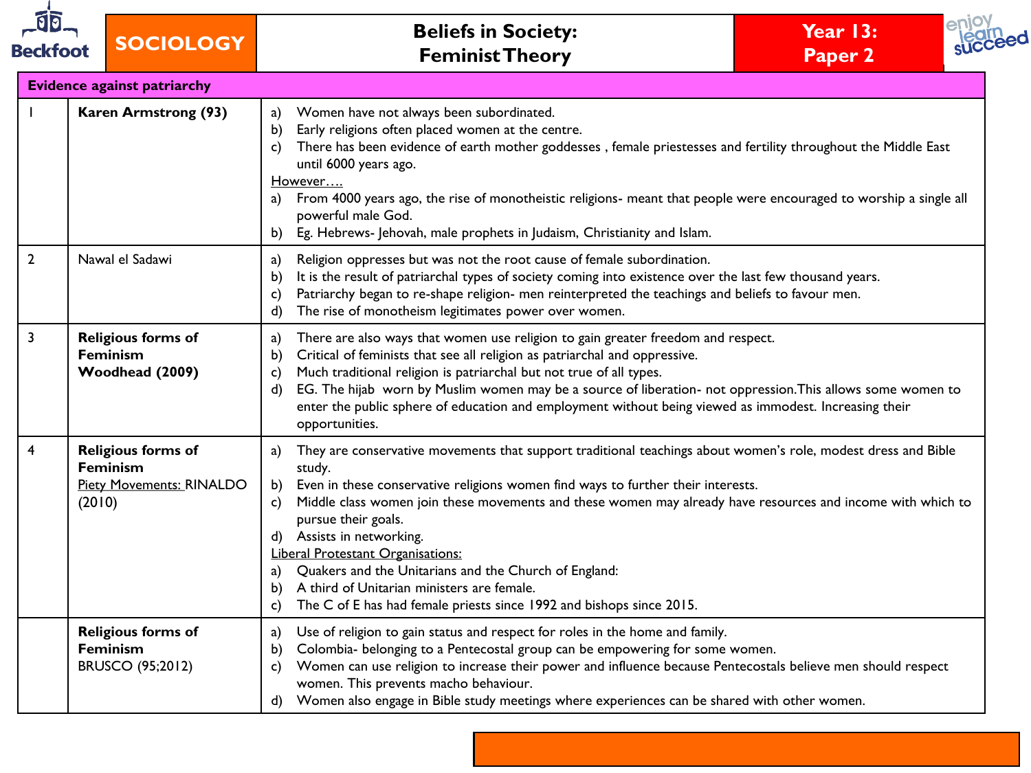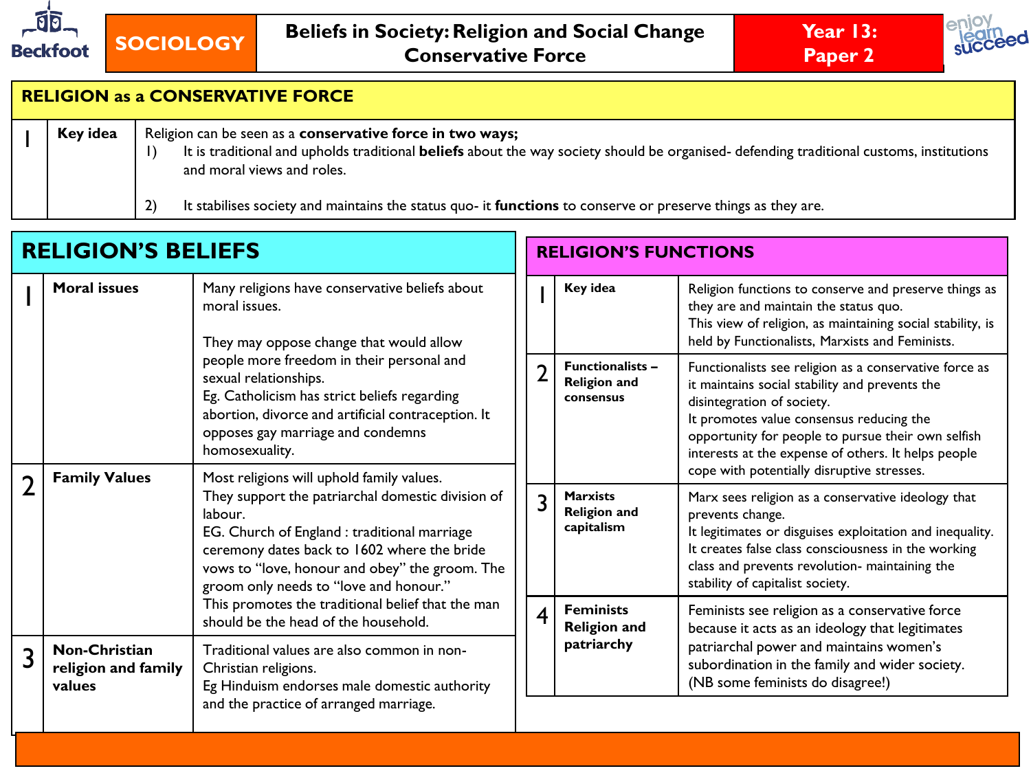





# **RELIGION as a CONSERVATIVE FORCE**

|  | Religion can be seen as a conservative force in two ways;<br>Key idea |                                                                                                                                                                               |  |  |  |  |
|--|-----------------------------------------------------------------------|-------------------------------------------------------------------------------------------------------------------------------------------------------------------------------|--|--|--|--|
|  |                                                                       | It is traditional and upholds traditional <b>beliefs</b> about the way society should be organised- defending traditional customs, institutions<br>and moral views and roles. |  |  |  |  |
|  |                                                                       | It stabilises society and maintains the status quo- it <b>functions</b> to conserve or preserve things as they are.                                                           |  |  |  |  |

| <b>RELIGION'S BELIEFS</b> |                                                                                                                                                                                                                       |                                                                                                                                                                                                                                                                                                      | <b>RELIGION'S FUNCTIONS</b> |                                                             |                                                                                                                                                                                                                                                                                                                                               |
|---------------------------|-----------------------------------------------------------------------------------------------------------------------------------------------------------------------------------------------------------------------|------------------------------------------------------------------------------------------------------------------------------------------------------------------------------------------------------------------------------------------------------------------------------------------------------|-----------------------------|-------------------------------------------------------------|-----------------------------------------------------------------------------------------------------------------------------------------------------------------------------------------------------------------------------------------------------------------------------------------------------------------------------------------------|
|                           | <b>Moral</b> issues                                                                                                                                                                                                   | Many religions have conservative beliefs about<br>moral issues.<br>They may oppose change that would allow                                                                                                                                                                                           |                             | Key idea                                                    | Religion functions to conserve and preserve things as<br>they are and maintain the status quo.<br>This view of religion, as maintaining social stability, is<br>held by Functionalists, Marxists and Feminists.                                                                                                                               |
|                           |                                                                                                                                                                                                                       | people more freedom in their personal and<br>sexual relationships.<br>Eg. Catholicism has strict beliefs regarding<br>abortion, divorce and artificial contraception. It<br>opposes gay marriage and condemns<br>homosexuality.                                                                      |                             | <b>Functionalists -</b><br><b>Religion and</b><br>consensus | Functionalists see religion as a conservative force as<br>it maintains social stability and prevents the<br>disintegration of society.<br>It promotes value consensus reducing the<br>opportunity for people to pursue their own selfish<br>interests at the expense of others. It helps people<br>cope with potentially disruptive stresses. |
| า                         | <b>Family Values</b>                                                                                                                                                                                                  | Most religions will uphold family values.<br>They support the patriarchal domestic division of<br>labour.<br>EG. Church of England : traditional marriage<br>ceremony dates back to 1602 where the bride<br>vows to "love, honour and obey" the groom. The<br>groom only needs to "love and honour." | 3                           | <b>Marxists</b><br><b>Religion and</b><br>capitalism        | Marx sees religion as a conservative ideology that<br>prevents change.<br>It legitimates or disguises exploitation and inequality.<br>It creates false class consciousness in the working<br>class and prevents revolution- maintaining the<br>stability of capitalist society.                                                               |
|                           |                                                                                                                                                                                                                       | This promotes the traditional belief that the man<br>should be the head of the household.                                                                                                                                                                                                            | 4                           | <b>Feminists</b><br><b>Religion and</b>                     | Feminists see religion as a conservative force<br>because it acts as an ideology that legitimates                                                                                                                                                                                                                                             |
| 3                         | <b>Non-Christian</b><br>Traditional values are also common in non-<br>religion and family<br>Christian religions.<br>Eg Hinduism endorses male domestic authority<br>values<br>and the practice of arranged marriage. |                                                                                                                                                                                                                                                                                                      |                             | patriarchy                                                  | patriarchal power and maintains women's<br>subordination in the family and wider society.<br>(NB some feminists do disagree!)                                                                                                                                                                                                                 |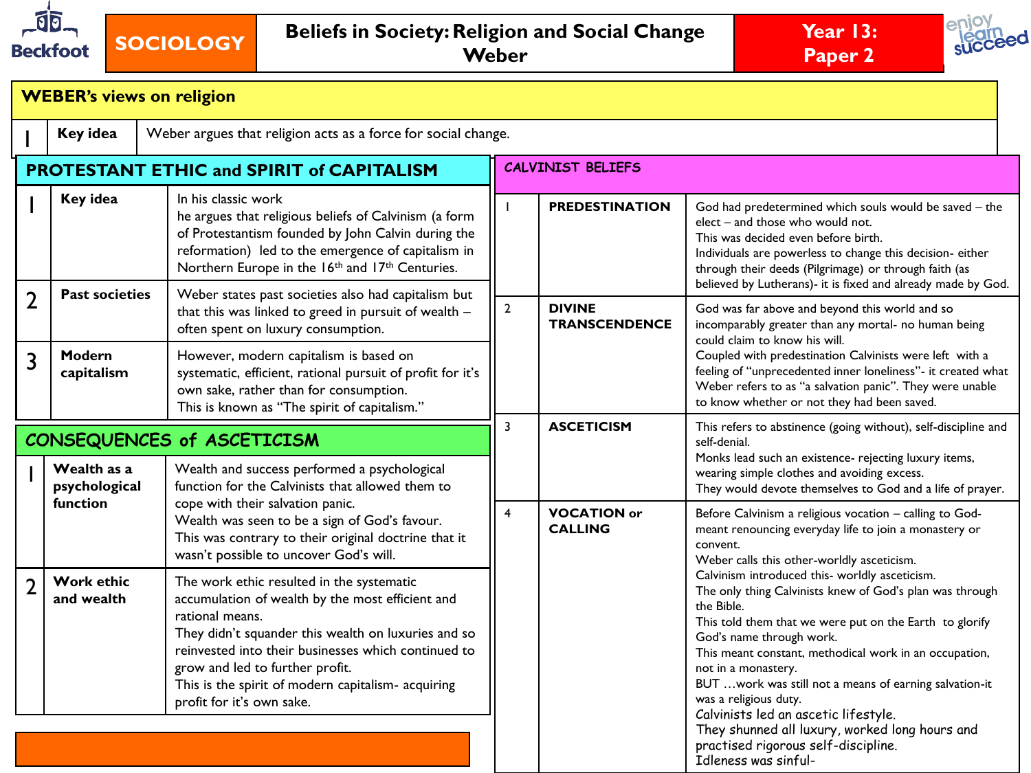





| <b>WEBER's views on religion</b>                                          |                                 |                                                                                                                                                                                                                                                                                                                                                      |                          |                                       |                                                                                                                                                                                                                                                                                                                                                                                                                                                                                |  |  |  |  |  |
|---------------------------------------------------------------------------|---------------------------------|------------------------------------------------------------------------------------------------------------------------------------------------------------------------------------------------------------------------------------------------------------------------------------------------------------------------------------------------------|--------------------------|---------------------------------------|--------------------------------------------------------------------------------------------------------------------------------------------------------------------------------------------------------------------------------------------------------------------------------------------------------------------------------------------------------------------------------------------------------------------------------------------------------------------------------|--|--|--|--|--|
| Key idea<br>Weber argues that religion acts as a force for social change. |                                 |                                                                                                                                                                                                                                                                                                                                                      |                          |                                       |                                                                                                                                                                                                                                                                                                                                                                                                                                                                                |  |  |  |  |  |
|                                                                           |                                 | PROTESTANT ETHIC and SPIRIT of CAPITALISM                                                                                                                                                                                                                                                                                                            | <b>CALVINIST BELIEFS</b> |                                       |                                                                                                                                                                                                                                                                                                                                                                                                                                                                                |  |  |  |  |  |
|                                                                           | Key idea                        | In his classic work<br>he argues that religious beliefs of Calvinism (a form<br>of Protestantism founded by John Calvin during the<br>reformation) led to the emergence of capitalism in<br>Northern Europe in the 16th and 17th Centuries.                                                                                                          |                          | <b>PREDESTINATION</b>                 | God had predetermined which souls would be saved - the<br>elect - and those who would not.<br>This was decided even before birth.<br>Individuals are powerless to change this decision- either<br>through their deeds (Pilgrimage) or through faith (as                                                                                                                                                                                                                        |  |  |  |  |  |
| $\overline{2}$                                                            | <b>Past societies</b>           | Weber states past societies also had capitalism but<br>that this was linked to greed in pursuit of wealth $-$<br>often spent on luxury consumption.                                                                                                                                                                                                  | $\mathbf{2}$             | <b>DIVINE</b><br><b>TRANSCENDENCE</b> | believed by Lutherans)- it is fixed and already made by God.<br>God was far above and beyond this world and so<br>incomparably greater than any mortal- no human being<br>could claim to know his will.<br>Coupled with predestination Calvinists were left with a<br>feeling of "unprecedented inner loneliness"- it created what<br>Weber refers to as "a salvation panic". They were unable<br>to know whether or not they had been saved.                                  |  |  |  |  |  |
| 3                                                                         | Modern<br>capitalism            | However, modern capitalism is based on<br>systematic, efficient, rational pursuit of profit for it's<br>own sake, rather than for consumption.<br>This is known as "The spirit of capitalism."                                                                                                                                                       |                          |                                       |                                                                                                                                                                                                                                                                                                                                                                                                                                                                                |  |  |  |  |  |
|                                                                           |                                 | CONSEQUENCES of ASCETICISM                                                                                                                                                                                                                                                                                                                           | 3                        | <b>ASCETICISM</b>                     | This refers to abstinence (going without), self-discipline and<br>self-denial.                                                                                                                                                                                                                                                                                                                                                                                                 |  |  |  |  |  |
|                                                                           | Wealth as a<br>psychological    | Wealth and success performed a psychological<br>function for the Calvinists that allowed them to<br>cope with their salvation panic.<br>Wealth was seen to be a sign of God's favour.<br>This was contrary to their original doctrine that it<br>wasn't possible to uncover God's will.                                                              |                          |                                       | Monks lead such an existence- rejecting luxury items,<br>wearing simple clothes and avoiding excess.<br>They would devote themselves to God and a life of prayer.                                                                                                                                                                                                                                                                                                              |  |  |  |  |  |
|                                                                           | <b>function</b>                 |                                                                                                                                                                                                                                                                                                                                                      |                          | <b>VOCATION or</b><br><b>CALLING</b>  | Before Calvinism a religious vocation - calling to God-<br>meant renouncing everyday life to join a monastery or<br>convent.<br>Weber calls this other-worldly asceticism.                                                                                                                                                                                                                                                                                                     |  |  |  |  |  |
| $\overline{\phantom{a}}$                                                  | <b>Work ethic</b><br>and wealth | The work ethic resulted in the systematic<br>accumulation of wealth by the most efficient and<br>rational means.<br>They didn't squander this wealth on luxuries and so<br>reinvested into their businesses which continued to<br>grow and led to further profit.<br>This is the spirit of modern capitalism- acquiring<br>profit for it's own sake. |                          |                                       | Calvinism introduced this- worldly asceticism.<br>The only thing Calvinists knew of God's plan was through<br>the Bible.<br>This told them that we were put on the Earth to glorify<br>God's name through work.<br>This meant constant, methodical work in an occupation,<br>not in a monastery.<br>BUT  work was still not a means of earning salvation-it<br>was a religious duty.<br>Calvinists led an ascetic lifestyle.<br>They shunned all luxury, worked long hours and |  |  |  |  |  |
|                                                                           |                                 |                                                                                                                                                                                                                                                                                                                                                      |                          |                                       | practised rigorous self-discipline.<br>Idleness was sinful-                                                                                                                                                                                                                                                                                                                                                                                                                    |  |  |  |  |  |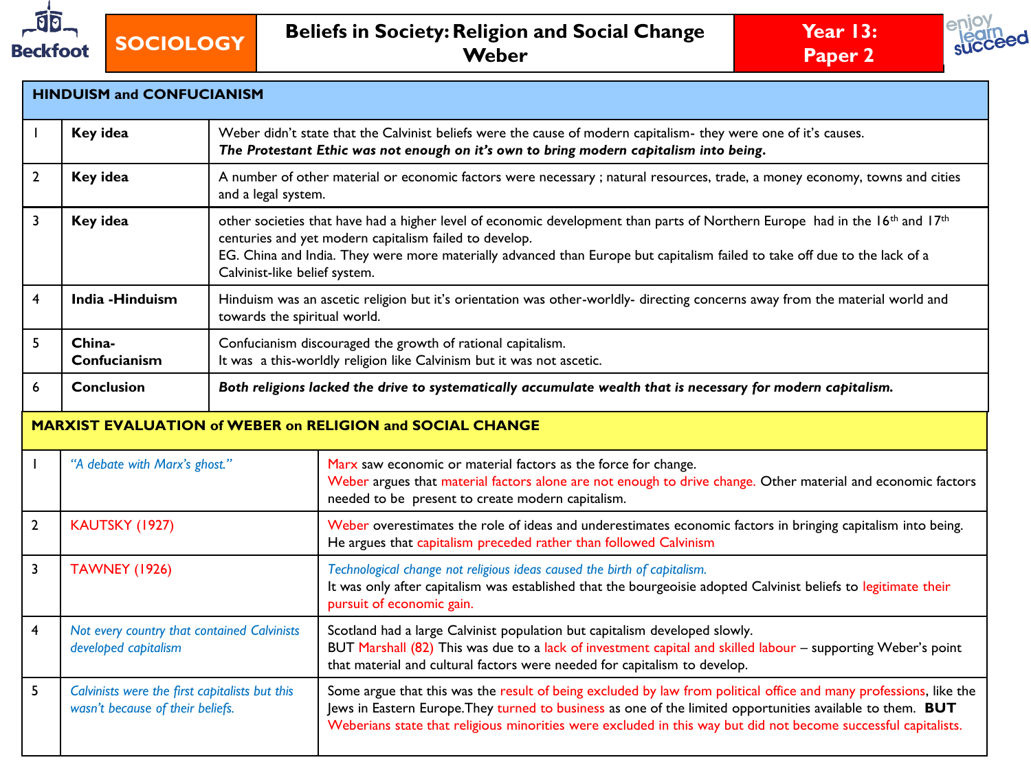





| <b>HINDUISM and CONFUCIANISM</b> |                                                                                                                                                                                                                        |                                                                                                                                                              |                                                                                                                                                                                                                                                                                                                                                      |  |  |  |  |  |
|----------------------------------|------------------------------------------------------------------------------------------------------------------------------------------------------------------------------------------------------------------------|--------------------------------------------------------------------------------------------------------------------------------------------------------------|------------------------------------------------------------------------------------------------------------------------------------------------------------------------------------------------------------------------------------------------------------------------------------------------------------------------------------------------------|--|--|--|--|--|
|                                  | Key idea<br>Weber didn't state that the Calvinist beliefs were the cause of modern capitalism- they were one of it's causes.<br>The Protestant Ethic was not enough on it's own to bring modern capitalism into being. |                                                                                                                                                              |                                                                                                                                                                                                                                                                                                                                                      |  |  |  |  |  |
| $\mathbf{2}$                     | Key idea                                                                                                                                                                                                               | and a legal system.                                                                                                                                          | A number of other material or economic factors were necessary; natural resources, trade, a money economy, towns and cities                                                                                                                                                                                                                           |  |  |  |  |  |
| 3                                | Key idea                                                                                                                                                                                                               |                                                                                                                                                              | other societies that have had a higher level of economic development than parts of Northern Europe had in the 16th and 17th<br>centuries and yet modern capitalism failed to develop.<br>EG. China and India. They were more materially advanced than Europe but capitalism failed to take off due to the lack of a<br>Calvinist-like belief system. |  |  |  |  |  |
| 4                                | India - Hinduism                                                                                                                                                                                                       | Hinduism was an ascetic religion but it's orientation was other-worldly- directing concerns away from the material world and<br>towards the spiritual world. |                                                                                                                                                                                                                                                                                                                                                      |  |  |  |  |  |
| 5                                | China-<br>Confucianism                                                                                                                                                                                                 |                                                                                                                                                              | Confucianism discouraged the growth of rational capitalism.<br>It was a this-worldly religion like Calvinism but it was not ascetic.                                                                                                                                                                                                                 |  |  |  |  |  |
| 6                                | <b>Conclusion</b>                                                                                                                                                                                                      | Both religions lacked the drive to systematically accumulate wealth that is necessary for modern capitalism.                                                 |                                                                                                                                                                                                                                                                                                                                                      |  |  |  |  |  |
|                                  | <b>MARXIST EVALUATION of WEBER on RELIGION and SOCIAL CHANGE</b>                                                                                                                                                       |                                                                                                                                                              |                                                                                                                                                                                                                                                                                                                                                      |  |  |  |  |  |
|                                  | "A debate with Marx's ghost."                                                                                                                                                                                          |                                                                                                                                                              | Marx saw economic or material factors as the force for change.<br>Weber argues that material factors alone are not enough to drive change. Other material and economic factors<br>needed to be present to create modern capitalism.                                                                                                                  |  |  |  |  |  |
| $\overline{2}$                   | KAUTSKY (1927)                                                                                                                                                                                                         |                                                                                                                                                              | Weber overestimates the role of ideas and underestimates economic factors in bringing capitalism into being.<br>He argues that capitalism preceded rather than followed Calvinism                                                                                                                                                                    |  |  |  |  |  |
| $\overline{3}$                   | <b>TAWNEY (1926)</b>                                                                                                                                                                                                   |                                                                                                                                                              | Technological change not religious ideas caused the birth of capitalism.<br>It was only after capitalism was established that the bourgeoisie adopted Calvinist beliefs to legitimate their<br>pursuit of economic gain.                                                                                                                             |  |  |  |  |  |
| $\overline{\mathbf{4}}$          | Not every country that contained Calvinists<br>developed capitalism                                                                                                                                                    |                                                                                                                                                              | Scotland had a large Calvinist population but capitalism developed slowly.<br>BUT Marshall (82) This was due to a lack of investment capital and skilled labour - supporting Weber's point<br>that material and cultural factors were needed for capitalism to develop.                                                                              |  |  |  |  |  |
| 5                                | Calvinists were the first capitalists but this<br>wasn't because of their beliefs.                                                                                                                                     |                                                                                                                                                              | Some argue that this was the result of being excluded by law from political office and many professions, like the<br>Jews in Eastern Europe. They turned to business as one of the limited opportunities available to them. BUT<br>Weberians state that religious minorities were excluded in this way but did not become successful capitalists.    |  |  |  |  |  |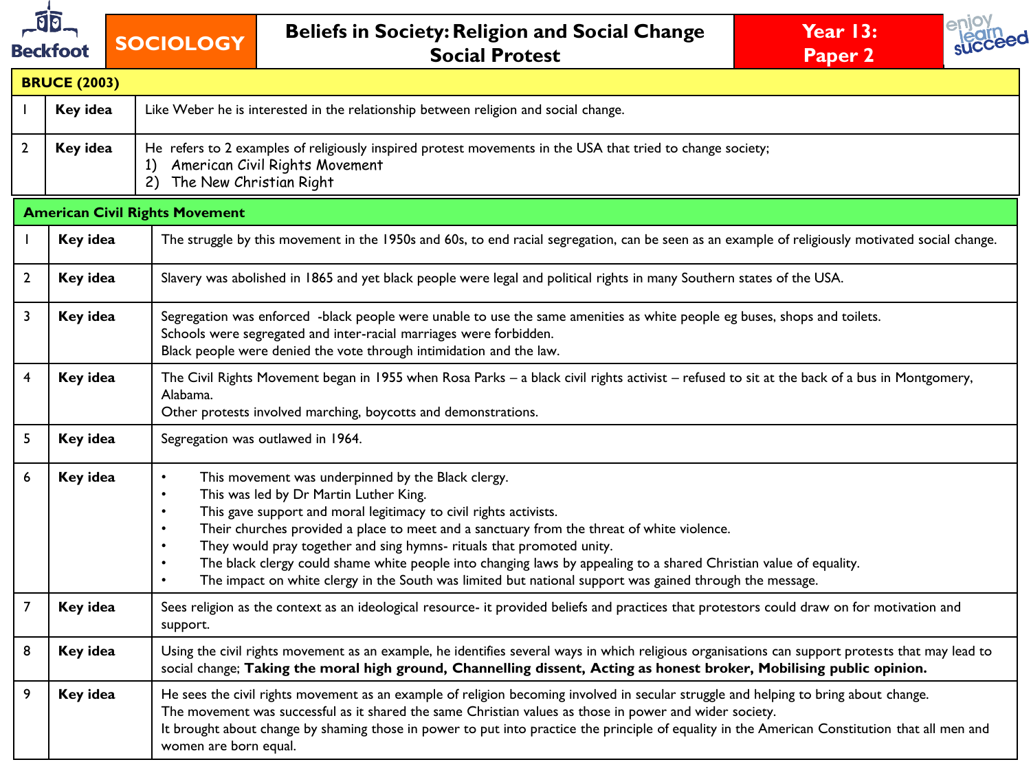

# **SOCIOLOGY Beliefs in Society: Religion and Social Change Social Protest**





| <b>BRUCE (2003)</b> |          |                                                                                                                                                                                                                                                                                                                                                                                                                                                                                                                                                                                                                                                                       |  |  |  |  |  |  |  |
|---------------------|----------|-----------------------------------------------------------------------------------------------------------------------------------------------------------------------------------------------------------------------------------------------------------------------------------------------------------------------------------------------------------------------------------------------------------------------------------------------------------------------------------------------------------------------------------------------------------------------------------------------------------------------------------------------------------------------|--|--|--|--|--|--|--|
|                     | Key idea | Like Weber he is interested in the relationship between religion and social change.                                                                                                                                                                                                                                                                                                                                                                                                                                                                                                                                                                                   |  |  |  |  |  |  |  |
| $\mathbf{2}$        | Key idea | He refers to 2 examples of religiously inspired protest movements in the USA that tried to change society;<br>American Civil Rights Movement<br>1)<br>The New Christian Right<br>(2)                                                                                                                                                                                                                                                                                                                                                                                                                                                                                  |  |  |  |  |  |  |  |
|                     |          | <b>American Civil Rights Movement</b>                                                                                                                                                                                                                                                                                                                                                                                                                                                                                                                                                                                                                                 |  |  |  |  |  |  |  |
|                     | Key idea | The struggle by this movement in the 1950s and 60s, to end racial segregation, can be seen as an example of religiously motivated social change.                                                                                                                                                                                                                                                                                                                                                                                                                                                                                                                      |  |  |  |  |  |  |  |
| $\mathbf{2}$        | Key idea | Slavery was abolished in 1865 and yet black people were legal and political rights in many Southern states of the USA.                                                                                                                                                                                                                                                                                                                                                                                                                                                                                                                                                |  |  |  |  |  |  |  |
| 3                   | Key idea | Segregation was enforced -black people were unable to use the same amenities as white people eg buses, shops and toilets.<br>Schools were segregated and inter-racial marriages were forbidden.<br>Black people were denied the vote through intimidation and the law.                                                                                                                                                                                                                                                                                                                                                                                                |  |  |  |  |  |  |  |
| 4                   | Key idea | The Civil Rights Movement began in 1955 when Rosa Parks - a black civil rights activist - refused to sit at the back of a bus in Montgomery,<br>Alabama.<br>Other protests involved marching, boycotts and demonstrations.                                                                                                                                                                                                                                                                                                                                                                                                                                            |  |  |  |  |  |  |  |
| 5                   | Key idea | Segregation was outlawed in 1964.                                                                                                                                                                                                                                                                                                                                                                                                                                                                                                                                                                                                                                     |  |  |  |  |  |  |  |
| 6                   | Key idea | This movement was underpinned by the Black clergy.<br>$\bullet$<br>This was led by Dr Martin Luther King.<br>$\bullet$<br>This gave support and moral legitimacy to civil rights activists.<br>$\bullet$<br>Their churches provided a place to meet and a sanctuary from the threat of white violence.<br>$\bullet$<br>They would pray together and sing hymns- rituals that promoted unity.<br>$\bullet$<br>The black clergy could shame white people into changing laws by appealing to a shared Christian value of equality.<br>$\bullet$<br>The impact on white clergy in the South was limited but national support was gained through the message.<br>$\bullet$ |  |  |  |  |  |  |  |
| $\overline{7}$      | Key idea | Sees religion as the context as an ideological resource- it provided beliefs and practices that protestors could draw on for motivation and<br>support.                                                                                                                                                                                                                                                                                                                                                                                                                                                                                                               |  |  |  |  |  |  |  |
| 8                   | Key idea | Using the civil rights movement as an example, he identifies several ways in which religious organisations can support protests that may lead to<br>social change; Taking the moral high ground, Channelling dissent, Acting as honest broker, Mobilising public opinion.                                                                                                                                                                                                                                                                                                                                                                                             |  |  |  |  |  |  |  |
| 9                   | Key idea | He sees the civil rights movement as an example of religion becoming involved in secular struggle and helping to bring about change.<br>The movement was successful as it shared the same Christian values as those in power and wider society.<br>It brought about change by shaming those in power to put into practice the principle of equality in the American Constitution that all men and<br>women are born equal.                                                                                                                                                                                                                                            |  |  |  |  |  |  |  |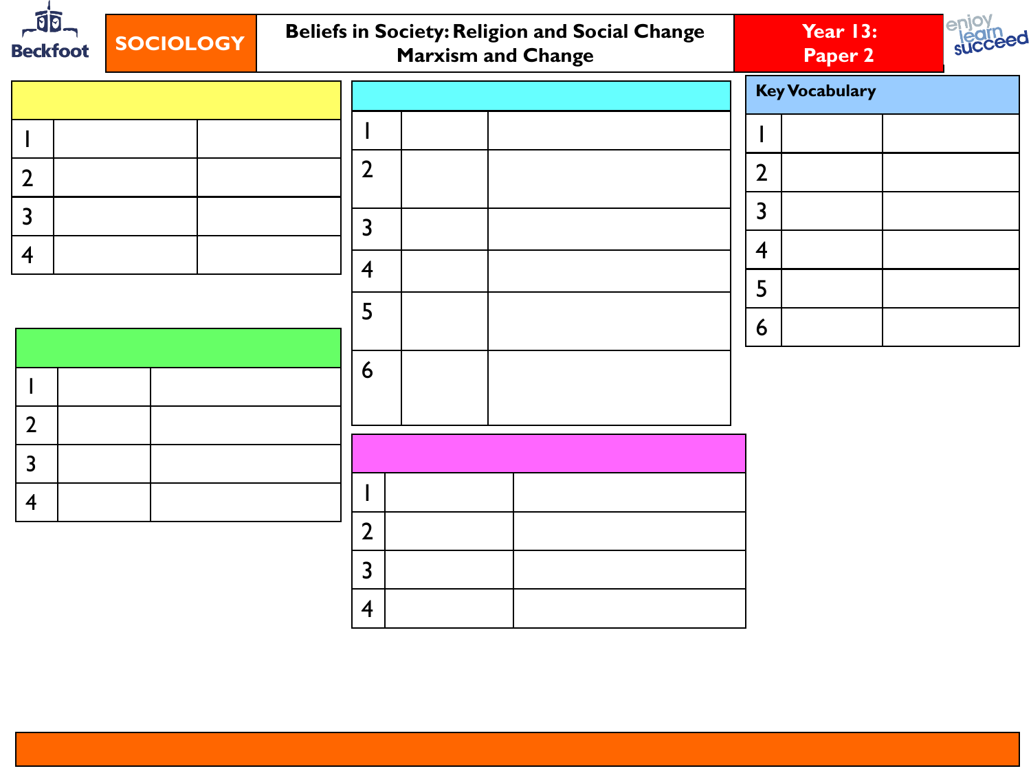| $\sqrt{50}$<br><b>Beckfoot</b> | <b>SOCIOLOGY</b> |                         | <b>Marxism and Change</b> | <b>Beliefs in Society: Religion and Social Change</b> |                | Year 13:<br>Paper 2   | enjoy<br><b>succeed</b> |
|--------------------------------|------------------|-------------------------|---------------------------|-------------------------------------------------------|----------------|-----------------------|-------------------------|
|                                |                  |                         |                           |                                                       |                | <b>Key Vocabulary</b> |                         |
|                                |                  |                         |                           |                                                       |                |                       |                         |
| $\overline{2}$                 |                  | $\overline{2}$          |                           |                                                       | $\overline{2}$ |                       |                         |
| $\overline{3}$                 |                  | $\overline{\mathbf{3}}$ |                           |                                                       | $\overline{3}$ |                       |                         |
| $\overline{4}$                 |                  |                         |                           |                                                       | $\overline{4}$ |                       |                         |
|                                |                  | $\overline{4}$          |                           |                                                       | 5              |                       |                         |
|                                |                  | 5                       |                           |                                                       | 6              |                       |                         |
|                                |                  | 6                       |                           |                                                       |                |                       |                         |
| $\mathbf{I}$                   |                  |                         |                           |                                                       |                |                       |                         |
| $\overline{2}$                 |                  |                         |                           |                                                       |                |                       |                         |
| $\overline{3}$                 |                  |                         |                           |                                                       |                |                       |                         |
| $\overline{4}$                 |                  |                         |                           |                                                       |                |                       |                         |
|                                |                  | $\overline{2}$          |                           |                                                       |                |                       |                         |
|                                |                  | $\overline{3}$          |                           |                                                       |                |                       |                         |
|                                |                  | $\overline{4}$          |                           |                                                       |                |                       |                         |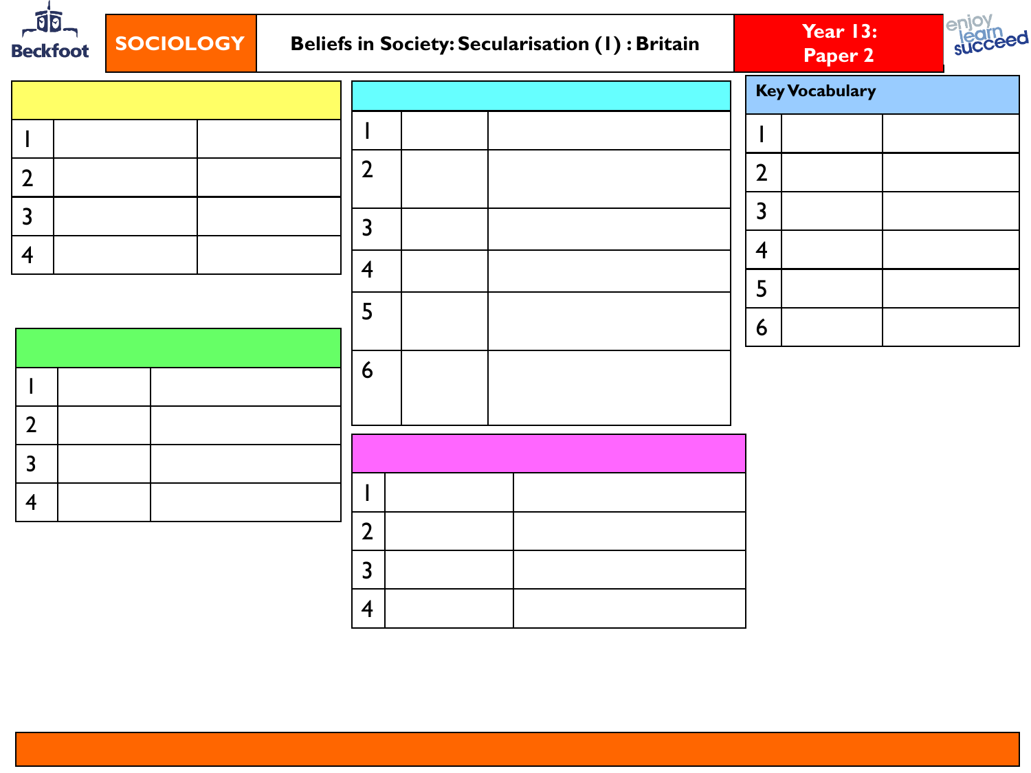| $-$ 00.<br><b>Beckfoot</b>       | <b>SOCIOLOGY</b> |                         | Beliefs in Society: Secularisation (1) : Britain | Year 13:<br>Paper 2   | enjoy<br>succeed |
|----------------------------------|------------------|-------------------------|--------------------------------------------------|-----------------------|------------------|
|                                  |                  |                         |                                                  | <b>Key Vocabulary</b> |                  |
|                                  |                  |                         |                                                  |                       |                  |
| $\overline{2}$                   |                  | $\overline{2}$          |                                                  | $\overline{2}$        |                  |
| $\overline{3}$                   |                  | $\overline{\mathbf{3}}$ |                                                  | $\overline{3}$        |                  |
| $\overline{4}$                   |                  |                         |                                                  | $\overline{4}$        |                  |
|                                  |                  | $\overline{4}$          |                                                  | 5                     |                  |
|                                  |                  | 5                       |                                                  | 6                     |                  |
|                                  |                  | 6                       |                                                  |                       |                  |
|                                  |                  |                         |                                                  |                       |                  |
| $\overline{2}$<br>$\overline{3}$ |                  |                         |                                                  |                       |                  |
| $\overline{4}$                   |                  |                         |                                                  |                       |                  |
|                                  |                  | $\overline{2}$          |                                                  |                       |                  |
|                                  |                  | $\overline{3}$          |                                                  |                       |                  |
|                                  |                  | $\overline{4}$          |                                                  |                       |                  |
|                                  |                  |                         |                                                  |                       |                  |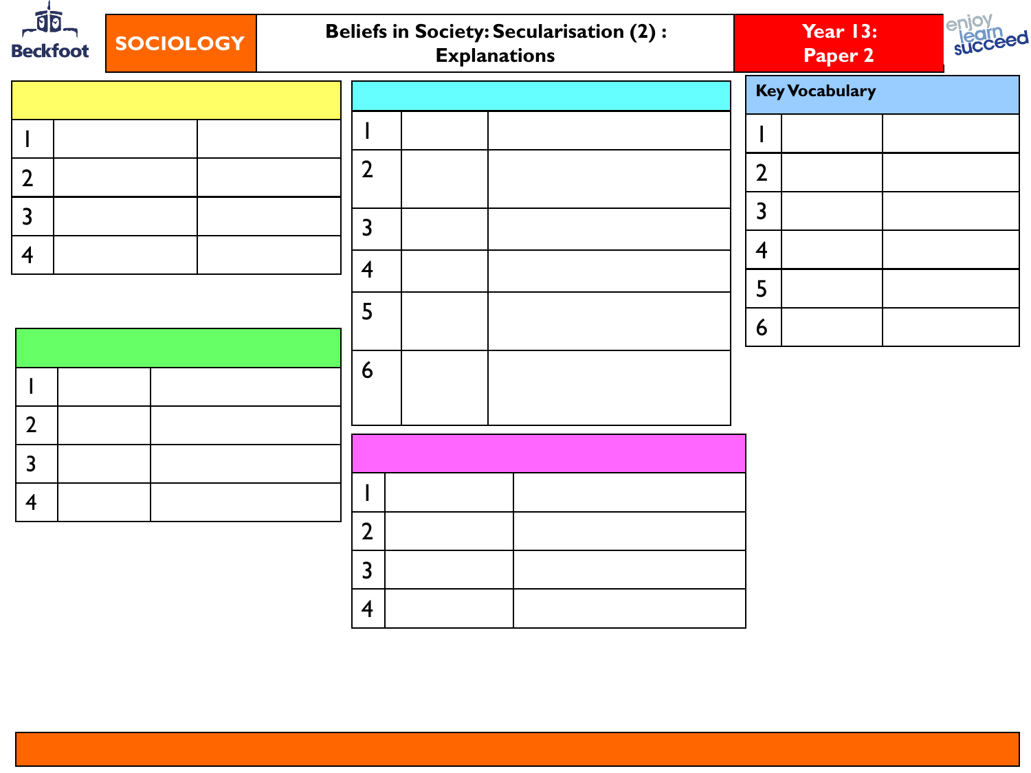| $-10$<br><b>SOCIOLOGY</b><br><b>Beckfoot</b> | <b>Beliefs in Society: Secularisation (2):</b><br><b>Explanations</b> | enjoy<br><b>legrn</b><br>succeed<br>Year 13:<br>Paper 2 |
|----------------------------------------------|-----------------------------------------------------------------------|---------------------------------------------------------|
|                                              |                                                                       | <b>Key Vocabulary</b>                                   |
| ı                                            |                                                                       |                                                         |
| $\overline{2}$                               | $\overline{2}$                                                        | $\overline{2}$                                          |
| $\overline{3}$                               | $\overline{3}$                                                        | $\overline{3}$                                          |
| $\overline{4}$                               |                                                                       | $\overline{4}$                                          |
|                                              | $\overline{4}$                                                        | 5                                                       |
|                                              | 5                                                                     | 6                                                       |
|                                              | 6                                                                     |                                                         |
| H                                            |                                                                       |                                                         |
| $\overline{2}$                               |                                                                       |                                                         |
| $\overline{3}$                               |                                                                       |                                                         |
| $\overline{4}$                               | ı                                                                     |                                                         |
|                                              | $\overline{2}$                                                        |                                                         |
|                                              | $\overline{3}$                                                        |                                                         |
|                                              | $\overline{\mathbf{4}}$                                               |                                                         |